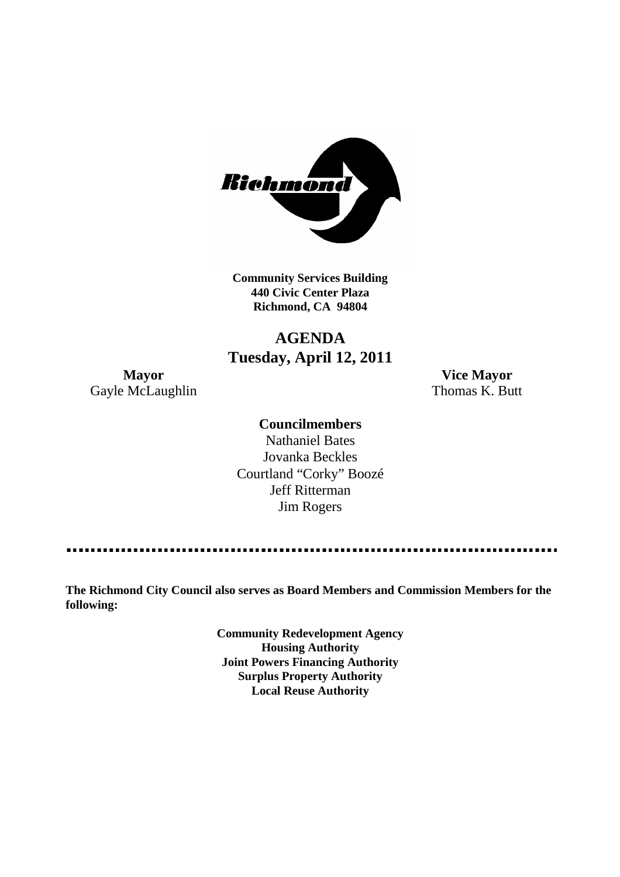

**Community Services Building 440 Civic Center Plaza Richmond, CA 94804**

# **AGENDA Tuesday, April 12, 2011**

Gayle McLaughlin Thomas K. Butt

**Mayor Vice Mayor**

### **Councilmembers**

Nathaniel Bates Jovanka Beckles Courtland "Corky" Boozé Jeff Ritterman Jim Rogers

**The Richmond City Council also serves as Board Members and Commission Members for the following:**

> **Community Redevelopment Agency Housing Authority Joint Powers Financing Authority Surplus Property Authority Local Reuse Authority**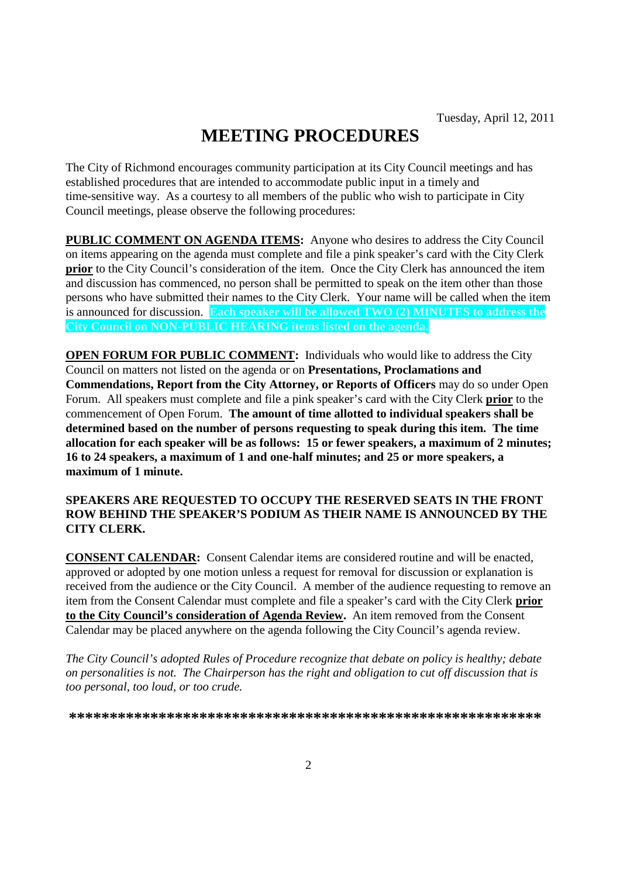# **MEETING PROCEDURES**

The City of Richmond encourages community participation at its City Council meetings and has established procedures that are intended to accommodate public input in a timely and time-sensitive way. As a courtesy to all members of the public who wish to participate in City Council meetings, please observe the following procedures:

**PUBLIC COMMENT ON AGENDA ITEMS:** Anyone who desires to address the City Council on items appearing on the agenda must complete and file a pink speaker's card with the City Clerk **prior** to the City Council's consideration of the item. Once the City Clerk has announced the item and discussion has commenced, no person shall be permitted to speak on the item other than those persons who have submitted their names to the City Clerk. Your name will be called when the item is announced for discussion. **Each speaker will be allowed TWO (2) MINUTES to address the City Council on NON-PUBLIC HEARING items listed on the agenda.**

**OPEN FORUM FOR PUBLIC COMMENT:** Individuals who would like to address the City Council on matters not listed on the agenda or on **Presentations, Proclamations and Commendations, Report from the City Attorney, or Reports of Officers** may do so under Open Forum. All speakers must complete and file a pink speaker's card with the City Clerk **prior** to the commencement of Open Forum. **The amount of time allotted to individual speakers shall be determined based on the number of persons requesting to speak during this item. The time allocation for each speaker will be as follows: 15 or fewer speakers, a maximum of 2 minutes; 16 to 24 speakers, a maximum of 1 and one-half minutes; and 25 or more speakers, a maximum of 1 minute.**

### **SPEAKERS ARE REQUESTED TO OCCUPY THE RESERVED SEATS IN THE FRONT ROW BEHIND THE SPEAKER'S PODIUM AS THEIR NAME IS ANNOUNCED BY THE CITY CLERK.**

**CONSENT CALENDAR:** Consent Calendar items are considered routine and will be enacted, approved or adopted by one motion unless a request for removal for discussion or explanation is received from the audience or the City Council. A member of the audience requesting to remove an item from the Consent Calendar must complete and file a speaker's card with the City Clerk **prior to the City Council's consideration of Agenda Review.** An item removed from the Consent Calendar may be placed anywhere on the agenda following the City Council's agenda review.

*The City Council's adopted Rules of Procedure recognize that debate on policy is healthy; debate on personalities is not. The Chairperson has the right and obligation to cut off discussion that is too personal, too loud, or too crude.*

**\*\*\*\*\*\*\*\*\*\*\*\*\*\*\*\*\*\*\*\*\*\*\*\*\*\*\*\*\*\*\*\*\*\*\*\*\*\*\*\*\*\*\*\*\*\*\*\*\*\*\*\*\*\*\*\*\*\***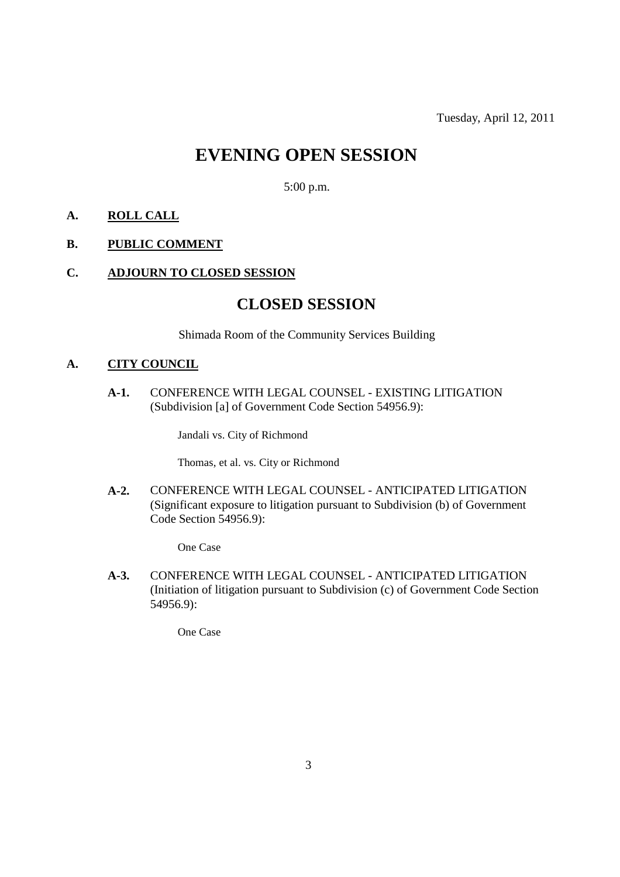Tuesday, April 12, 2011

# **EVENING OPEN SESSION**

5:00 p.m.

### **A. ROLL CALL**

### **B. PUBLIC COMMENT**

### **C. ADJOURN TO CLOSED SESSION**

### **CLOSED SESSION**

Shimada Room of the Community Services Building

### **A. CITY COUNCIL**

**A-1.** CONFERENCE WITH LEGAL COUNSEL - EXISTING LITIGATION (Subdivision [a] of Government Code Section 54956.9):

Jandali vs. City of Richmond

Thomas, et al. vs. City or Richmond

**A-2.** CONFERENCE WITH LEGAL COUNSEL - ANTICIPATED LITIGATION (Significant exposure to litigation pursuant to Subdivision (b) of Government Code Section 54956.9):

One Case

**A-3.** CONFERENCE WITH LEGAL COUNSEL - ANTICIPATED LITIGATION (Initiation of litigation pursuant to Subdivision (c) of Government Code Section 54956.9):

One Case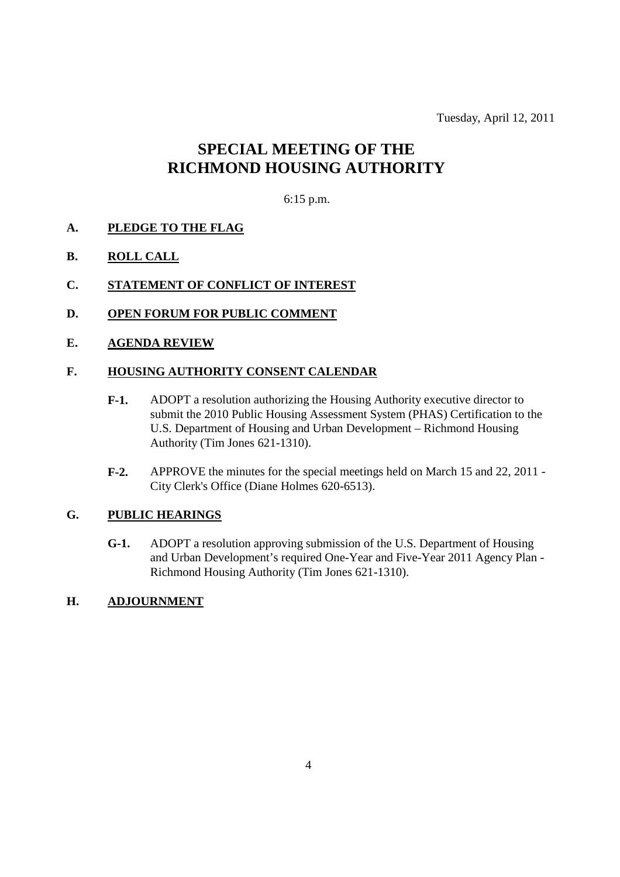Tuesday, April 12, 2011

# **SPECIAL MEETING OF THE RICHMOND HOUSING AUTHORITY**

### 6:15 p.m.

- **A. PLEDGE TO THE FLAG**
- **B. ROLL CALL**
- **C. STATEMENT OF CONFLICT OF INTEREST**
- **D. OPEN FORUM FOR PUBLIC COMMENT**
- **E. AGENDA REVIEW**

### **F. HOUSING AUTHORITY CONSENT CALENDAR**

- **F-1.** ADOPT a resolution authorizing the Housing Authority executive director to submit the 2010 Public Housing Assessment System (PHAS) Certification to the U.S. Department of Housing and Urban Development – Richmond Housing Authority (Tim Jones 621-1310).
- **F-2.** APPROVE the minutes for the special meetings held on March 15 and 22, 2011 City Clerk's Office (Diane Holmes 620-6513).

### **G. PUBLIC HEARINGS**

- **G-1.** ADOPT a resolution approving submission of the U.S. Department of Housing and Urban Development's required One-Year and Five-Year 2011 Agency Plan - Richmond Housing Authority (Tim Jones 621-1310).
- **H. ADJOURNMENT**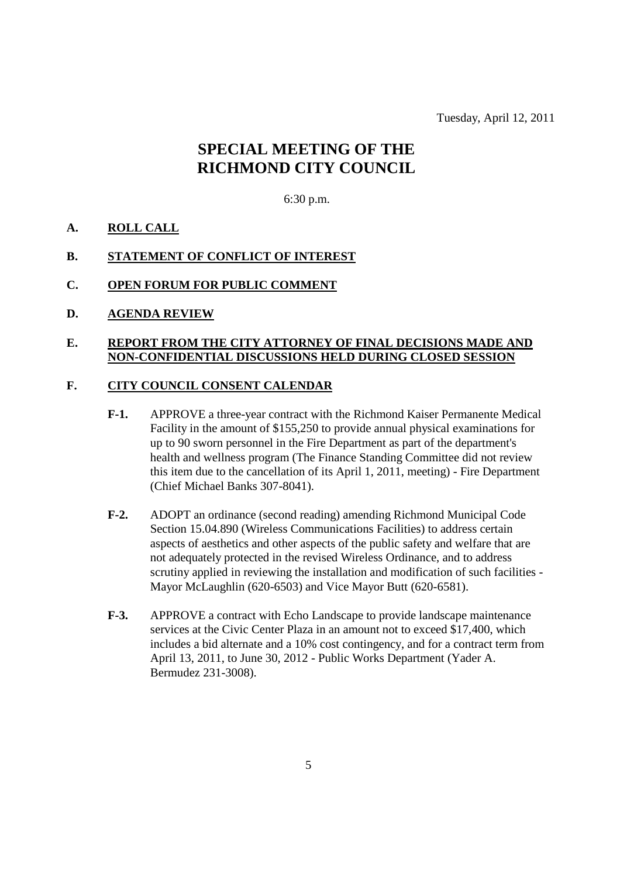Tuesday, April 12, 2011

# **SPECIAL MEETING OF THE RICHMOND CITY COUNCIL**

### 6:30 p.m.

### **A. ROLL CALL**

#### **B. STATEMENT OF CONFLICT OF INTEREST**

#### **C. OPEN FORUM FOR PUBLIC COMMENT**

**D. AGENDA REVIEW**

### **E. REPORT FROM THE CITY ATTORNEY OF FINAL DECISIONS MADE AND NON-CONFIDENTIAL DISCUSSIONS HELD DURING CLOSED SESSION**

### **F. CITY COUNCIL CONSENT CALENDAR**

- **F-1.** APPROVE a three-year contract with the Richmond Kaiser Permanente Medical Facility in the amount of \$155,250 to provide annual physical examinations for up to 90 sworn personnel in the Fire Department as part of the department's health and wellness program (The Finance Standing Committee did not review this item due to the cancellation of its April 1, 2011, meeting) - Fire Department (Chief Michael Banks 307-8041).
- **F-2.** ADOPT an ordinance (second reading) amending Richmond Municipal Code Section 15.04.890 (Wireless Communications Facilities) to address certain aspects of aesthetics and other aspects of the public safety and welfare that are not adequately protected in the revised Wireless Ordinance, and to address scrutiny applied in reviewing the installation and modification of such facilities - Mayor McLaughlin (620-6503) and Vice Mayor Butt (620-6581).
- **F-3.** APPROVE a contract with Echo Landscape to provide landscape maintenance services at the Civic Center Plaza in an amount not to exceed \$17,400, which includes a bid alternate and a 10% cost contingency, and for a contract term from April 13, 2011, to June 30, 2012 - Public Works Department (Yader A. Bermudez 231-3008).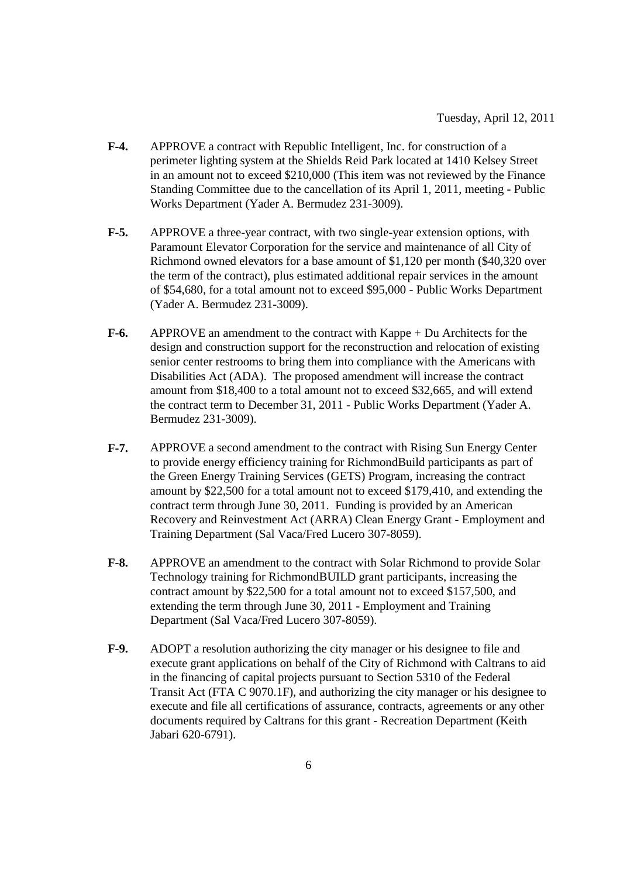- **F-4.** APPROVE a contract with Republic Intelligent, Inc. for construction of a perimeter lighting system at the Shields Reid Park located at 1410 Kelsey Street in an amount not to exceed \$210,000 (This item was not reviewed by the Finance Standing Committee due to the cancellation of its April 1, 2011, meeting - Public Works Department (Yader A. Bermudez 231-3009).
- **F-5.** APPROVE a three-year contract, with two single-year extension options, with Paramount Elevator Corporation for the service and maintenance of all City of Richmond owned elevators for a base amount of \$1,120 per month (\$40,320 over the term of the contract), plus estimated additional repair services in the amount of \$54,680, for a total amount not to exceed \$95,000 - Public Works Department (Yader A. Bermudez 231-3009).
- **F-6.** APPROVE an amendment to the contract with Kappe + Du Architects for the design and construction support for the reconstruction and relocation of existing senior center restrooms to bring them into compliance with the Americans with Disabilities Act (ADA). The proposed amendment will increase the contract amount from \$18,400 to a total amount not to exceed \$32,665, and will extend the contract term to December 31, 2011 - Public Works Department (Yader A. Bermudez 231-3009).
- **F-7.** APPROVE a second amendment to the contract with Rising Sun Energy Center to provide energy efficiency training for RichmondBuild participants as part of the Green Energy Training Services (GETS) Program, increasing the contract amount by \$22,500 for a total amount not to exceed \$179,410, and extending the contract term through June 30, 2011. Funding is provided by an American Recovery and Reinvestment Act (ARRA) Clean Energy Grant - Employment and Training Department (Sal Vaca/Fred Lucero 307-8059).
- **F-8.** APPROVE an amendment to the contract with Solar Richmond to provide Solar Technology training for RichmondBUILD grant participants, increasing the contract amount by \$22,500 for a total amount not to exceed \$157,500, and extending the term through June 30, 2011 - Employment and Training Department (Sal Vaca/Fred Lucero 307-8059).
- **F-9.** ADOPT a resolution authorizing the city manager or his designee to file and execute grant applications on behalf of the City of Richmond with Caltrans to aid in the financing of capital projects pursuant to Section 5310 of the Federal Transit Act (FTA C 9070.1F), and authorizing the city manager or his designee to execute and file all certifications of assurance, contracts, agreements or any other documents required by Caltrans for this grant - Recreation Department (Keith Jabari 620-6791).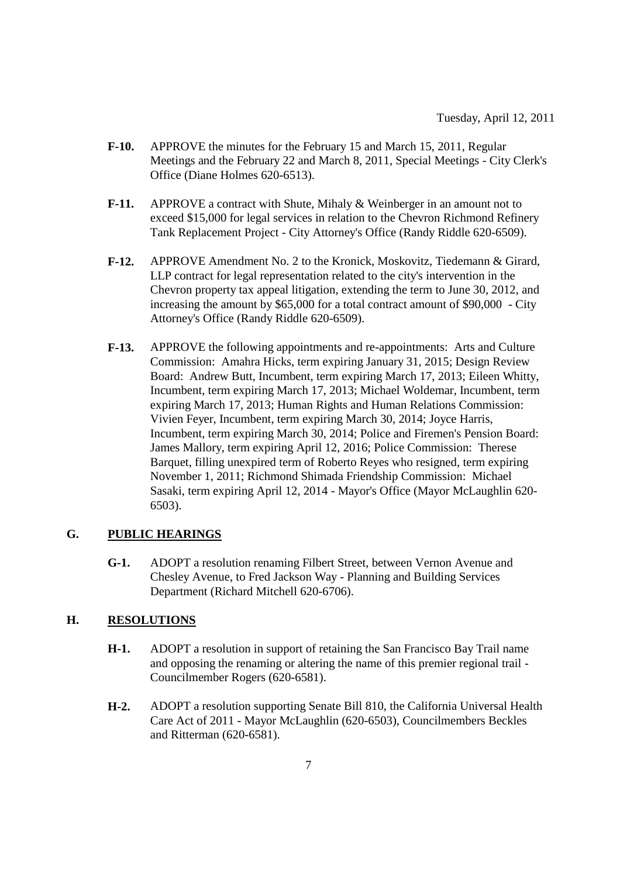- **F-10.** APPROVE the minutes for the February 15 and March 15, 2011, Regular Meetings and the February 22 and March 8, 2011, Special Meetings - City Clerk's Office (Diane Holmes 620-6513).
- **F-11.** APPROVE a contract with Shute, Mihaly & Weinberger in an amount not to exceed \$15,000 for legal services in relation to the Chevron Richmond Refinery Tank Replacement Project - City Attorney's Office (Randy Riddle 620-6509).
- **F-12.** APPROVE Amendment No. 2 to the Kronick, Moskovitz, Tiedemann & Girard, LLP contract for legal representation related to the city's intervention in the Chevron property tax appeal litigation, extending the term to June 30, 2012, and increasing the amount by \$65,000 for a total contract amount of \$90,000 - City Attorney's Office (Randy Riddle 620-6509).
- **F-13.** APPROVE the following appointments and re-appointments: Arts and Culture Commission: Amahra Hicks, term expiring January 31, 2015; Design Review Board: Andrew Butt, Incumbent, term expiring March 17, 2013; Eileen Whitty, Incumbent, term expiring March 17, 2013; Michael Woldemar, Incumbent, term expiring March 17, 2013; Human Rights and Human Relations Commission: Vivien Feyer, Incumbent, term expiring March 30, 2014; Joyce Harris, Incumbent, term expiring March 30, 2014; Police and Firemen's Pension Board: James Mallory, term expiring April 12, 2016; Police Commission: Therese Barquet, filling unexpired term of Roberto Reyes who resigned, term expiring November 1, 2011; Richmond Shimada Friendship Commission: Michael Sasaki, term expiring April 12, 2014 - Mayor's Office (Mayor McLaughlin 620- 6503).

### **G. PUBLIC HEARINGS**

**G-1.** ADOPT a resolution renaming Filbert Street, between Vernon Avenue and Chesley Avenue, to Fred Jackson Way - Planning and Building Services Department (Richard Mitchell 620-6706).

### **H. RESOLUTIONS**

- **H-1.** ADOPT a resolution in support of retaining the San Francisco Bay Trail name and opposing the renaming or altering the name of this premier regional trail - Councilmember Rogers (620-6581).
- **H-2.** ADOPT a resolution supporting Senate Bill 810, the California Universal Health Care Act of 2011 - Mayor McLaughlin (620-6503), Councilmembers Beckles and Ritterman (620-6581).